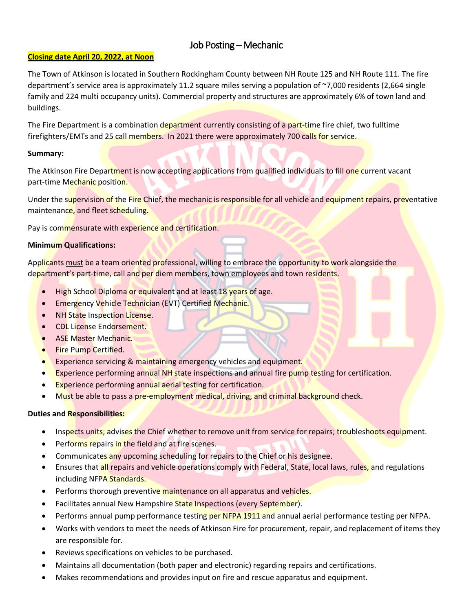## Job Posting – Mechanic

### **Closing date April 20, 2022, at Noon**

The Town of Atkinson is located in Southern Rockingham County between NH Route 125 and NH Route 111. The fire department's service area is approximately 11.2 square miles serving a population of ~7,000 residents (2,664 single family and 224 multi occupancy units). Commercial property and structures are approximately 6% of town land and buildings.

The Fire Department is a combination department currently consisting of a part-time fire chief, two fulltime firefighters/EMTs and 25 call members. In 2021 there were approximately 700 calls for service.

#### **Summary:**

The Atkinson Fire Department is now accepting applications from qualified individuals to fill one current vacant part-time Mechanic position.

Under the supervision of the Fire Chief, the mechanic is responsible for all vehicle and equipment repairs, preventative maintenance, and fleet scheduling.

Pay is commensurate with experience and certification.

### **Minimum Qualifications:**

Applicants must be a team oriented professional, willing to embrace the opportunity to work alongside the department's part-time, call and per diem members, town employees and town residents.

- High School Diploma or equivalent and at least 18 years of age.
- Emergency Vehicle Technician (EVT) Certified Mechanic.
- NH State Inspection License.
- CDL License Endorsement.
- ASE Master Mechanic.
- Fire Pump Certified.
- Experience servicing & maintaining emergency vehicles and equipment.
- Experience performing annual NH state inspections and annual fire pump testing for certification.
- **Experience performing annual aerial testing for certification.**
- Must be able to pass a pre-employment medical, driving, and criminal background check.

### **Duties and Responsibilities:**

- Inspects units; advises the Chief whether to remove unit from service for repairs; troubleshoots equipment.
- Performs repairs in the field and at fire scenes.
- Communicates any upcoming scheduling for repairs to the Chief or his designee.
- Ensures that all repairs and vehicle operations comply with Federal, State, local laws, rules, and regulations including NFPA Standards.
- Performs thorough preventive maintenance on all apparatus and vehicles.
- Facilitates annual New Hampshire State Inspections (every September).
- Performs annual pump performance testing per NFPA 1911 and annual aerial performance testing per NFPA.
- Works with vendors to meet the needs of Atkinson Fire for procurement, repair, and replacement of items they are responsible for.
- Reviews specifications on vehicles to be purchased.
- Maintains all documentation (both paper and electronic) regarding repairs and certifications.
- Makes recommendations and provides input on fire and rescue apparatus and equipment.